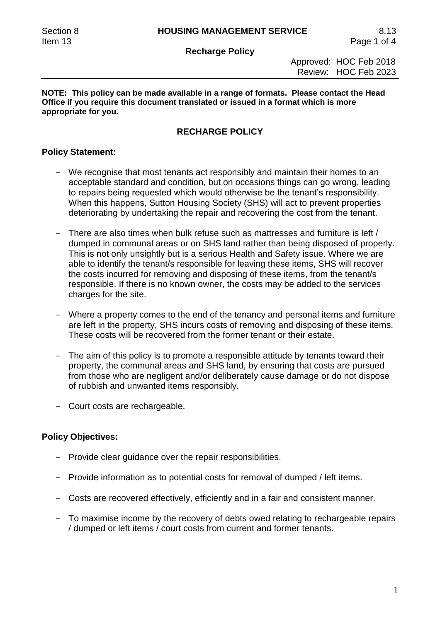**Recharge Policy**

#### **NOTE: This policy can be made available in a range of formats. Please contact the Head Office if you require this document translated or issued in a format which is more appropriate for you.**

# **RECHARGE POLICY**

#### **Policy Statement:**

- We recognise that most tenants act responsibly and maintain their homes to an acceptable standard and condition, but on occasions things can go wrong, leading to repairs being requested which would otherwise be the tenant's responsibility. When this happens, Sutton Housing Society (SHS) will act to prevent properties deteriorating by undertaking the repair and recovering the cost from the tenant.
- There are also times when bulk refuse such as mattresses and furniture is left / dumped in communal areas or on SHS land rather than being disposed of properly. This is not only unsightly but is a serious Health and Safety issue. Where we are able to identify the tenant/s responsible for leaving these items, SHS will recover the costs incurred for removing and disposing of these items, from the tenant/s responsible. If there is no known owner, the costs may be added to the services charges for the site.
- Where a property comes to the end of the tenancy and personal items and furniture are left in the property, SHS incurs costs of removing and disposing of these items. These costs will be recovered from the former tenant or their estate.
- The aim of this policy is to promote a responsible attitude by tenants toward their property, the communal areas and SHS land, by ensuring that costs are pursued from those who are negligent and/or deliberately cause damage or do not dispose of rubbish and unwanted items responsibly.
- Court costs are rechargeable.

### **Policy Objectives:**

- Provide clear quidance over the repair responsibilities.
- Provide information as to potential costs for removal of dumped / left items.
- Costs are recovered effectively, efficiently and in a fair and consistent manner.
- To maximise income by the recovery of debts owed relating to rechargeable repairs / dumped or left items / court costs from current and former tenants.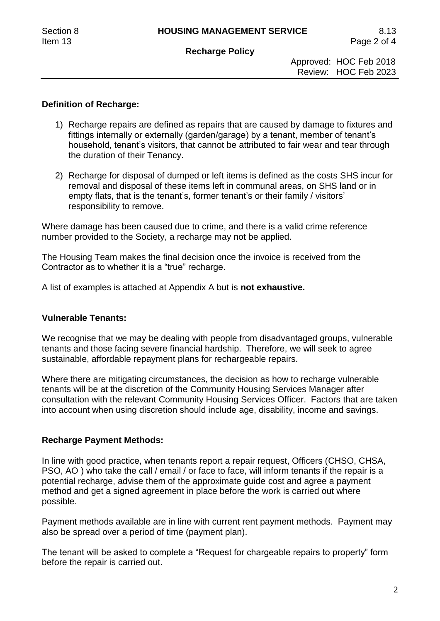#### **Recharge Policy**

 Approved: HOC Feb 2018 Review: HOC Feb 2023

## **Definition of Recharge:**

- 1) Recharge repairs are defined as repairs that are caused by damage to fixtures and fittings internally or externally (garden/garage) by a tenant, member of tenant's household, tenant's visitors, that cannot be attributed to fair wear and tear through the duration of their Tenancy.
- 2) Recharge for disposal of dumped or left items is defined as the costs SHS incur for removal and disposal of these items left in communal areas, on SHS land or in empty flats, that is the tenant's, former tenant's or their family / visitors' responsibility to remove.

Where damage has been caused due to crime, and there is a valid crime reference number provided to the Society, a recharge may not be applied.

The Housing Team makes the final decision once the invoice is received from the Contractor as to whether it is a "true" recharge.

A list of examples is attached at Appendix A but is **not exhaustive.**

#### **Vulnerable Tenants:**

We recognise that we may be dealing with people from disadvantaged groups, vulnerable tenants and those facing severe financial hardship. Therefore, we will seek to agree sustainable, affordable repayment plans for rechargeable repairs.

Where there are mitigating circumstances, the decision as how to recharge vulnerable tenants will be at the discretion of the Community Housing Services Manager after consultation with the relevant Community Housing Services Officer. Factors that are taken into account when using discretion should include age, disability, income and savings.

### **Recharge Payment Methods:**

In line with good practice, when tenants report a repair request, Officers (CHSO, CHSA, PSO, AO ) who take the call / email / or face to face, will inform tenants if the repair is a potential recharge, advise them of the approximate guide cost and agree a payment method and get a signed agreement in place before the work is carried out where possible.

Payment methods available are in line with current rent payment methods. Payment may also be spread over a period of time (payment plan).

The tenant will be asked to complete a "Request for chargeable repairs to property" form before the repair is carried out.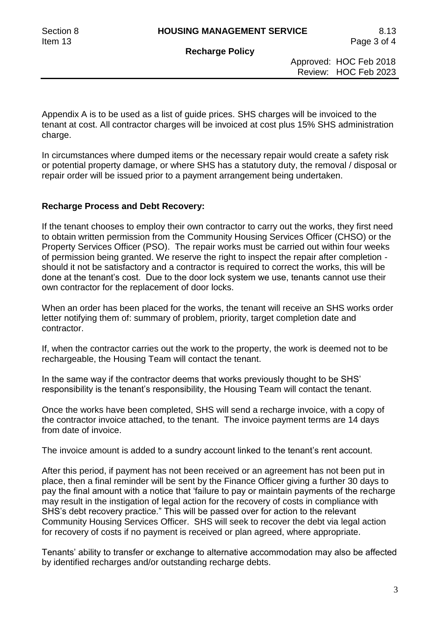**Recharge Policy**

 Approved: HOC Feb 2018 Review: HOC Feb 2023

Appendix A is to be used as a list of guide prices. SHS charges will be invoiced to the tenant at cost. All contractor charges will be invoiced at cost plus 15% SHS administration charge.

In circumstances where dumped items or the necessary repair would create a safety risk or potential property damage, or where SHS has a statutory duty, the removal / disposal or repair order will be issued prior to a payment arrangement being undertaken.

### **Recharge Process and Debt Recovery:**

If the tenant chooses to employ their own contractor to carry out the works, they first need to obtain written permission from the Community Housing Services Officer (CHSO) or the Property Services Officer (PSO). The repair works must be carried out within four weeks of permission being granted. We reserve the right to inspect the repair after completion should it not be satisfactory and a contractor is required to correct the works, this will be done at the tenant's cost. Due to the door lock system we use, tenants cannot use their own contractor for the replacement of door locks.

When an order has been placed for the works, the tenant will receive an SHS works order letter notifying them of: summary of problem, priority, target completion date and contractor.

If, when the contractor carries out the work to the property, the work is deemed not to be rechargeable, the Housing Team will contact the tenant.

In the same way if the contractor deems that works previously thought to be SHS' responsibility is the tenant's responsibility, the Housing Team will contact the tenant.

Once the works have been completed, SHS will send a recharge invoice, with a copy of the contractor invoice attached, to the tenant. The invoice payment terms are 14 days from date of invoice.

The invoice amount is added to a sundry account linked to the tenant's rent account.

After this period, if payment has not been received or an agreement has not been put in place, then a final reminder will be sent by the Finance Officer giving a further 30 days to pay the final amount with a notice that 'failure to pay or maintain payments of the recharge may result in the instigation of legal action for the recovery of costs in compliance with SHS's debt recovery practice." This will be passed over for action to the relevant Community Housing Services Officer. SHS will seek to recover the debt via legal action for recovery of costs if no payment is received or plan agreed, where appropriate.

Tenants' ability to transfer or exchange to alternative accommodation may also be affected by identified recharges and/or outstanding recharge debts.